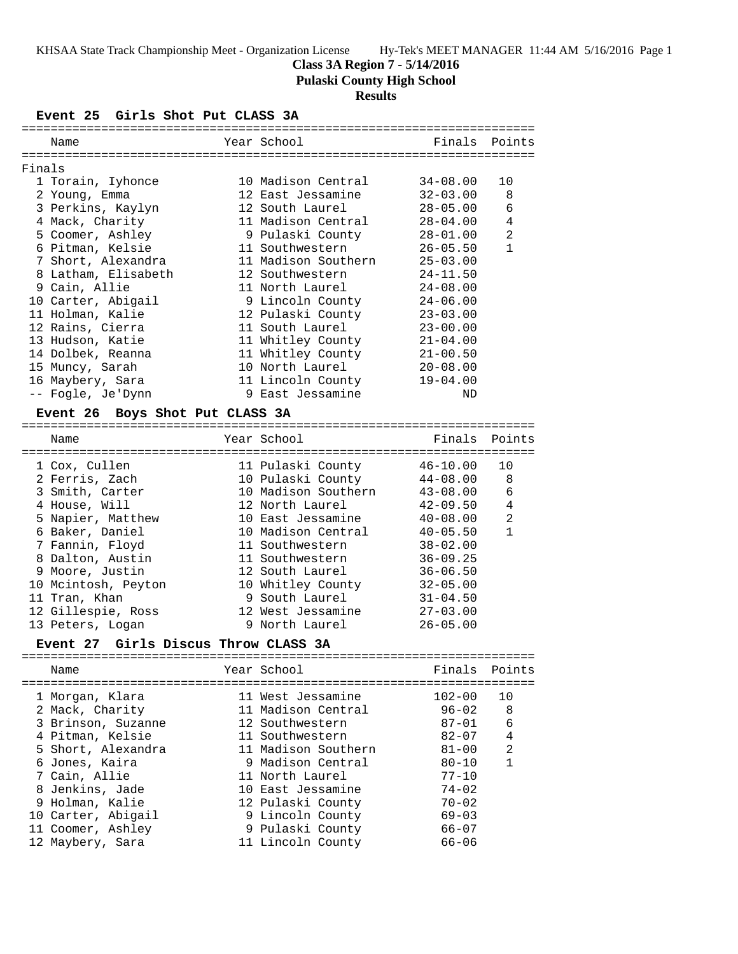# **Class 3A Region 7 - 5/14/2016**

**Pulaski County High School**

# **Results**

## **Event 25 Girls Shot Put CLASS 3A**

|        | Name                            | Year School                                      | Finals       | Points         |
|--------|---------------------------------|--------------------------------------------------|--------------|----------------|
|        |                                 |                                                  |              |                |
| Finals |                                 |                                                  |              |                |
|        | 1 Torain, Iyhonce               | 10 Madison Central                               | $34 - 08.00$ | 10             |
|        | 2 Young, Emma                   | 12 East Jessamine                                | $32 - 03.00$ | 8              |
|        | 3 Perkins, Kaylyn               | 12 South Laurel                                  | $28 - 05.00$ | 6              |
|        | 4 Mack, Charity                 | 11 Madison Central                               | 28-04.00     | 4              |
|        | 5 Coomer, Ashley                | 9 Pulaski County                                 | $28 - 01.00$ | 2              |
|        | 6 Pitman, Kelsie                | 11 Southwestern                                  | $26 - 05.50$ | $\mathbf{1}$   |
|        | 7 Short, Alexandra              | 11 Madison Southern                              | $25 - 03.00$ |                |
|        | 8 Latham, Elisabeth             | 12 Southwestern                                  | $24 - 11.50$ |                |
|        | 9 Cain, Allie                   | 11 North Laurel                                  | $24 - 08.00$ |                |
|        | 10 Carter, Abigail              | 9 Lincoln County                                 | $24 - 06.00$ |                |
|        | 11 Holman, Kalie                | 12 Pulaski County                                | $23 - 03.00$ |                |
|        | 12 Rains, Cierra                | 11 South Laurel                                  | $23 - 00.00$ |                |
|        | 13 Hudson, Katie                | 11 Whitley County                                | $21 - 04.00$ |                |
|        | 14 Dolbek, Reanna               | 11 Whitley County                                | $21 - 00.50$ |                |
|        | 15 Muncy, Sarah                 | 10 North Laurel                                  | $20 - 08.00$ |                |
|        | 16 Maybery, Sara                | 11 Lincoln County                                | $19 - 04.00$ |                |
|        | -- Fogle, Je'Dynn               | 9 East Jessamine                                 | <b>ND</b>    |                |
|        | Event 26 Boys Shot Put CLASS 3A |                                                  |              |                |
|        | Name                            | Year School                                      | Finals       | Points         |
|        |                                 |                                                  |              |                |
|        | 1 Cox, Cullen                   | 11 Pulaski County 46-10.00                       |              | 10             |
|        | 2 Ferris, Zach                  | 10 Pulaski County                                | $44 - 08.00$ | 8              |
|        | 3 Smith, Carter                 | 10 Madison Southern                              | 43-08.00     | 6              |
|        | 4 House, Will                   | 12 North Laurel                                  | $42 - 09.50$ | $\overline{4}$ |
|        | 5 Napier, Matthew               | 10 East Jessamine                                | $40 - 08.00$ | 2              |
|        | 6 Baker, Daniel                 | 10 Madison Central                               | $40 - 05.50$ | $\mathbf{1}$   |
|        | 7 Fannin, Floyd                 | 11 Southwestern                                  | $38 - 02.00$ |                |
|        | 8 Dalton, Austin                | 11 Southwestern                                  | $36 - 09.25$ |                |
|        | 9 Moore, Justin                 | 12 South Laurel                                  | $36 - 06.50$ |                |
|        | 10 Mcintosh, Peyton             | 10 Whitley County                                | $32 - 05.00$ |                |
|        | 11 Tran, Khan                   | 9 South Laurel                                   | $31 - 04.50$ |                |
|        | $12 \times 11$ canic Poss       | $10$ $W \circ t$ $T \circ \circ \circ m \circ n$ | 27 US UU     |                |

| 12 Gillespie, Ross | 12 West Jessamine | $27 - 03.00$ |
|--------------------|-------------------|--------------|
| 13 Peters, Logan   | 9 North Laurel    | $26 - 05.00$ |

## **Event 27 Girls Discus Throw CLASS 3A**

| Name                                                                                                                                                     | Year School                                                                                                                                                       | Finals Points                                                                             |                                       |
|----------------------------------------------------------------------------------------------------------------------------------------------------------|-------------------------------------------------------------------------------------------------------------------------------------------------------------------|-------------------------------------------------------------------------------------------|---------------------------------------|
| 1 Morgan, Klara<br>2 Mack, Charity<br>3 Brinson, Suzanne<br>4 Pitman, Kelsie<br>5 Short, Alexandra<br>6 Jones, Kaira<br>7 Cain, Allie<br>8 Jenkins, Jade | 11 West Jessamine<br>11 Madison Central<br>12 Southwestern<br>11 Southwestern<br>11 Madison Southern<br>9 Madison Central<br>11 North Laurel<br>10 East Jessamine | $102 - 00$<br>96-02<br>87-01<br>82-07<br>$81 - 00$<br>$80 - 10$<br>$77 - 10$<br>$74 - 02$ | 10<br>- 8<br>6<br>4<br>$\mathfrak{D}$ |
| 9 Holman, Kalie<br>10 Carter, Abigail<br>11 Coomer, Ashley                                                                                               | 12 Pulaski County<br>9 Lincoln County<br>9 Pulaski County                                                                                                         | $70 - 02$<br>$69 - 03$<br>66-07                                                           |                                       |
|                                                                                                                                                          |                                                                                                                                                                   |                                                                                           |                                       |
| 12 Maybery, Sara                                                                                                                                         | 11 Lincoln County                                                                                                                                                 | $66 - 06$                                                                                 |                                       |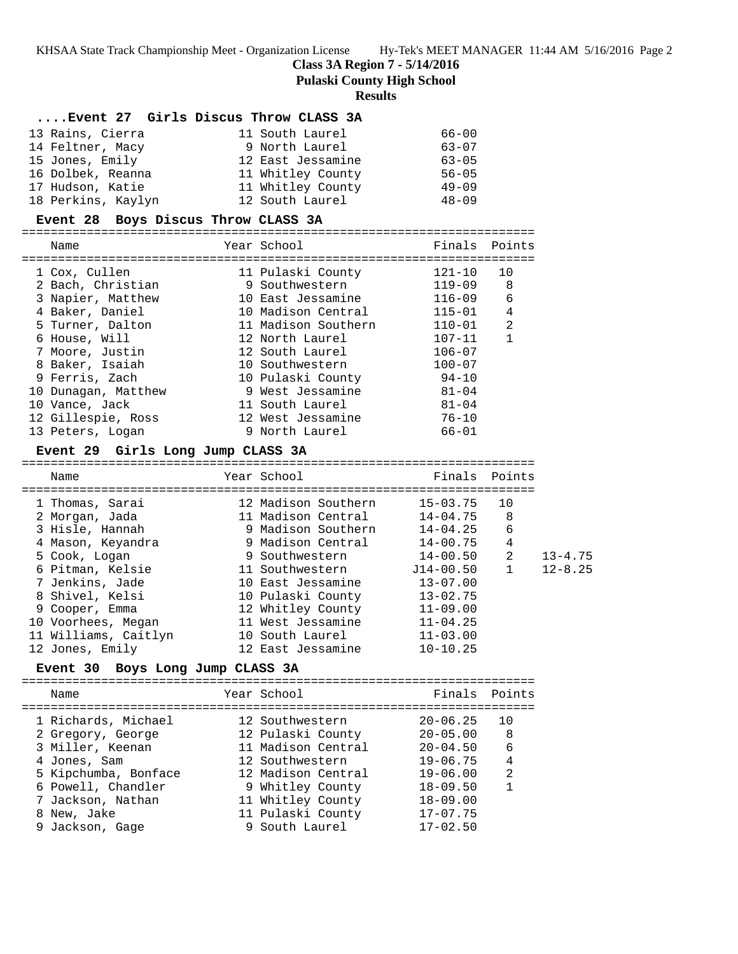**Class 3A Region 7 - 5/14/2016**

**Pulaski County High School**

#### **Results**

| Event 27 Girls Discus Throw CLASS 3A   |                                            |               |                                |
|----------------------------------------|--------------------------------------------|---------------|--------------------------------|
| 13 Rains, Cierra                       | 11 South Laurel                            | $66 - 00$     |                                |
| 14 Feltner, Macy                       | 9 North Laurel                             | $63 - 07$     |                                |
| 15 Jones, Emily                        | 12 East Jessamine                          | $63 - 05$     |                                |
|                                        |                                            |               |                                |
| 17 Hudson, Katie                       | 11 Whitley County                   49-09  |               |                                |
| 18 Perkins, Kaylyn                     | 12 South Laurel                            | $48 - 09$     |                                |
| Event 28 Boys Discus Throw CLASS 3A    |                                            |               |                                |
|                                        |                                            |               |                                |
| Name                                   | Year School and the Search School          | Finals        | Points                         |
|                                        |                                            |               |                                |
| 1 Cox, Cullen                          | 11 Pulaski County                          | $121 - 10$    | 10                             |
| 2 Bach, Christian                      | 9 Southwestern                             | 119-09        | 8                              |
| 3 Napier, Matthew                      | 10 East Jessamine                          | $116 - 09$    | 6                              |
| 4 Baker, Daniel                        | 10 Madison Central                         | $115 - 01$    | $\overline{4}$                 |
| 5 Turner, Dalton                       | 11 Madison Southern                        | $110 - 01$    | $\overline{2}$<br>$\mathbf{1}$ |
| 6 House, Will                          | 12 North Laurel                            | $107 - 11$    |                                |
| 7 Moore, Justin                        | 12 South Laurel                            | $106 - 07$    |                                |
| 8 Baker, Isaiah                        | 10 Southwestern                            | $100 - 07$    |                                |
| 9 Ferris, Zach                         | 10 Pulaski County                          | $94 - 10$     |                                |
| 10 Dunagan, Matthew                    | 9 West Jessamine                           | $81 - 04$     |                                |
| 10 Vance, Jack                         | 11 South Laurel<br>12 West Jessamine 76-10 | $81 - 04$     |                                |
| 12 Gillespie, Ross<br>13 Peters, Logan | 9 North Laurel                             | 66-01         |                                |
|                                        |                                            |               |                                |
| Event 29 Girls Long Jump CLASS 3A      |                                            |               |                                |
| Name                                   | Year School                                | Finals Points |                                |
|                                        |                                            |               |                                |
| 1 Thomas, Sarai                        | 12 Madison Southern                        | 15-03.75      | 10                             |
| 2 Morgan, Jada                         | 11 Madison Central                         | $14 - 04.75$  | 8                              |
| 3 Hisle, Hannah                        | 9 Madison Southern                         | $14 - 04.25$  | 6                              |
| 4 Mason, Keyandra                      |                                            |               | 4                              |
| 5 Cook, Logan                          | 9 Southwestern                             | 14-00.50      | $\overline{a}$                 |
| 6 Pitman Kelsie                        | $11$ Southwestern $.714 - 00$ 50           |               | $\mathbf{1}$                   |

| 6 Pitman, Kelsie     | 11 Southwestern   | J14-00.50 1  | 12-8.25 |
|----------------------|-------------------|--------------|---------|
| 7 Jenkins, Jade      | 10 East Jessamine | $13 - 07.00$ |         |
| 8 Shivel, Kelsi      | 10 Pulaski County | $13 - 02.75$ |         |
| 9 Cooper, Emma       | 12 Whitley County | $11 - 09.00$ |         |
| 10 Voorhees, Megan   | 11 West Jessamine | $11 - 04.25$ |         |
| 11 Williams, Caitlyn | 10 South Laurel   | $11 - 03.00$ |         |
| 12 Jones, Emily      | 12 East Jessamine | $10 - 10.25$ |         |

## **Event 30 Boys Long Jump CLASS 3A**

======================================================================= Name The Year School Team Points Points ======================================================================= 1 Richards, Michael 12 Southwestern 20-06.25 10 2 Gregory, George 12 Pulaski County 20-05.00 8 3 Miller, Keenan 11 Madison Central 20-04.50 6 4 Jones, Sam 12 Southwestern 19-06.75 4 5 Kipchumba, Bonface 12 Madison Central 19-06.00 2 6 Powell, Chandler 9 Whitley County 18-09.50 1 7 Jackson, Nathan 11 Whitley County 18-09.00 8 New, Jake 11 Pulaski County 17-07.75 9 Jackson, Gage 9 South Laurel 17-02.50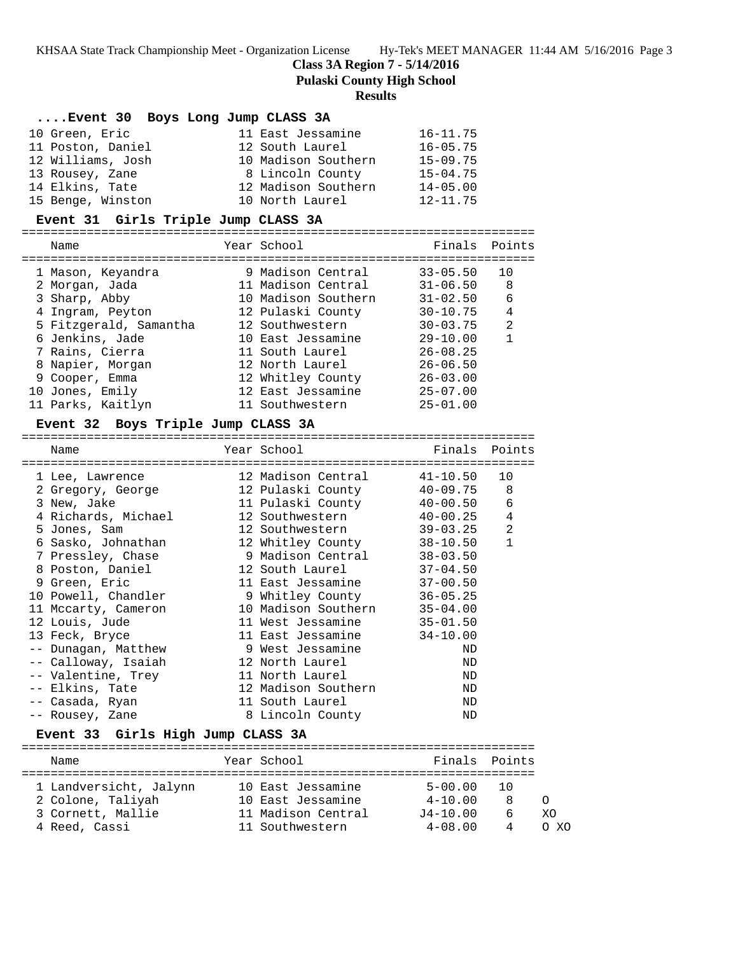**Class 3A Region 7 - 5/14/2016**

**Pulaski County High School**

## **Results**

| Event 30 Boys Long Jump CLASS 3A |                     |              |
|----------------------------------|---------------------|--------------|
| 10 Green, Eric                   | 11 East Jessamine   | $16 - 11.75$ |
| 11 Poston, Daniel                | 12 South Laurel     | $16 - 05.75$ |
| 12 Williams, Josh                | 10 Madison Southern | $15 - 09.75$ |
| 13 Rousey, Zane                  | 8 Lincoln County    | $15 - 04.75$ |
| 14 Elkins, Tate                  | 12 Madison Southern | $14 - 05.00$ |
| 15 Benge, Winston                | 10 North Laurel     | $12 - 11.75$ |

#### **Event 31 Girls Triple Jump CLASS 3A**

=======================================================================

|  | Name                   | Year School         | Finals       | Points         |
|--|------------------------|---------------------|--------------|----------------|
|  | 1 Mason, Keyandra      | 9 Madison Central   | $33 - 05.50$ | 10             |
|  | 2 Morgan, Jada         | 11 Madison Central  | $31 - 06.50$ | 8              |
|  | 3 Sharp, Abby          | 10 Madison Southern | $31 - 02.50$ | 6              |
|  | 4 Ingram, Peyton       | 12 Pulaski County   | $30 - 10.75$ | 4              |
|  | 5 Fitzgerald, Samantha | 12 Southwestern     | $30 - 03.75$ | $\mathfrak{D}$ |
|  | 6 Jenkins, Jade        | 10 East Jessamine   | $29 - 10.00$ | 1              |
|  | 7 Rains, Cierra        | 11 South Laurel     | $26 - 08.25$ |                |
|  | 8 Napier, Morgan       | 12 North Laurel     | $26 - 06.50$ |                |
|  | 9 Cooper, Emma         | 12 Whitley County   | $26 - 03.00$ |                |
|  | 10 Jones, Emily        | 12 East Jessamine   | $25 - 07.00$ |                |
|  | 11 Parks, Kaitlyn      | 11 Southwestern     | $25 - 01.00$ |                |
|  |                        |                     |              |                |

### **Event 32 Boys Triple Jump CLASS 3A**

| Year School<br>Name<br>====================================           | =================================== | Finals Points |                |
|-----------------------------------------------------------------------|-------------------------------------|---------------|----------------|
| 1 Lee, Lawrence                                                       | 12 Madison Central 41-10.50         |               | 10             |
|                                                                       |                                     | 40-09.75      | 8              |
| 3 New, Jake                                                           | 11 Pulaski County 40-00.50          |               | 6              |
| 4 Richards, Michael                                                   | 12 Southwestern 40-00.25            |               | $\overline{4}$ |
| 5 Jones, Sam                                                          | 12 Southwestern 39-03.25            |               | $\overline{2}$ |
| 6 Sasko, Johnathan               12 Whitley County           38-10.50 |                                     |               | $\mathbf{1}$   |
| 7 Pressley, Chase                                                     | 9 Madison Central 38-03.50          |               |                |
| 8 Poston, Daniel                                                      | 12 South Laurel 37-04.50            |               |                |
| 9 Green, Eric                                                         | 11 East Jessamine 37-00.50          |               |                |
| 10 Powell, Chandler                                                   | 9 Whitley County                    | $36 - 05.25$  |                |
| 11 Mccarty, Cameron                                                   | 10 Madison Southern 35-04.00        |               |                |
| 12 Louis, Jude                                                        | 11 West Jessamine 35-01.50          |               |                |
| 13 Feck, Bryce                                                        | 11 East Jessamine                   | $34 - 10.00$  |                |
| -- Dunagan, Matthew                                                   | 9 West Jessamine                    | ND            |                |
| -- Calloway, Isaiah                                                   | 12 North Laurel                     | ND            |                |
| -- Valentine, Trey 11 North Laurel                                    |                                     | ND            |                |
| -- Elkins, Tate                                                       | 12 Madison Southern                 | ND            |                |
| -- Casada, Ryan                                                       | 11 South Laurel                     | ND            |                |
| -- Rousey, Zane                                                       | 8 Lincoln County                    | ND            |                |
| Event 33 Girls High Jump CLASS 3A<br>==============                   |                                     |               |                |

| Name                   | Year School        | Finals Points |       |      |
|------------------------|--------------------|---------------|-------|------|
| 1 Landversicht, Jalynn | 10 East Jessamine  | 5-00.00       | - 1 O |      |
| 2 Colone, Taliyah      | 10 East Jessamine  | $4 - 10.00$   |       |      |
| 3 Cornett, Mallie      | 11 Madison Central | $J4 - 10.00$  | h     | XΟ   |
| 4 Reed, Cassi          | 11 Southwestern    | $4 - 08.00$   | 4     | n xn |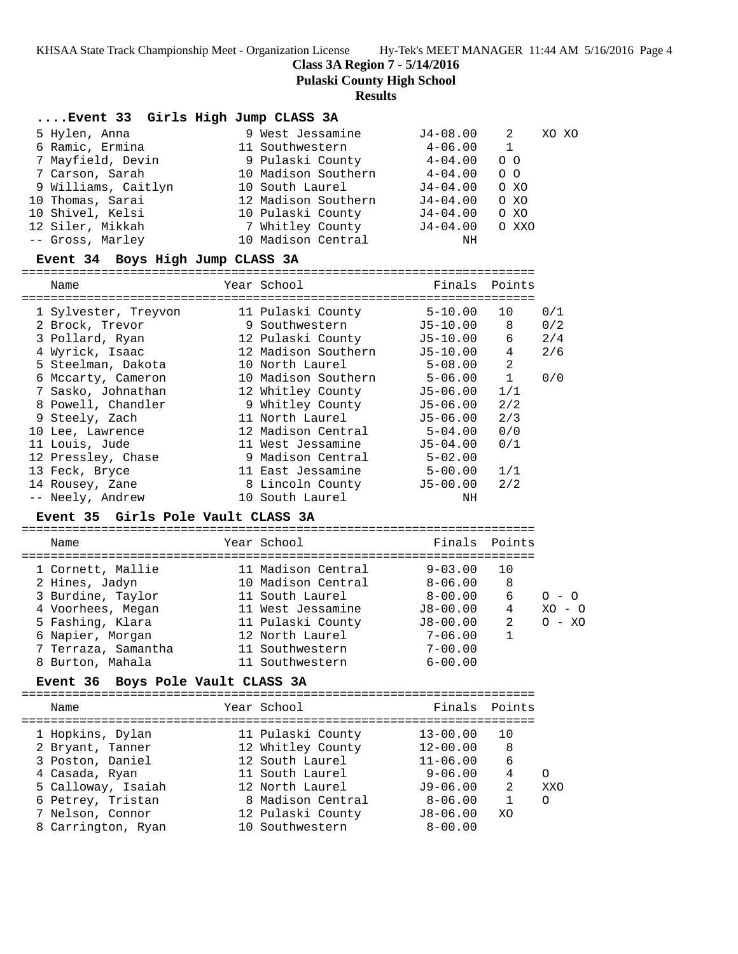**Class 3A Region 7 - 5/14/2016**

**Pulaski County High School**

#### **Results**

## **....Event 33 Girls High Jump CLASS 3A** 5 Hylen, Anna 9 West Jessamine J4-08.00 2 XO XO

| $\cdots$ $\cdots$ $\cdots$ |                     |              |                 |  |
|----------------------------|---------------------|--------------|-----------------|--|
| 6 Ramic, Ermina            | 11 Southwestern     | $4 - 06.00$  |                 |  |
| 7 Mayfield, Devin          | 9 Pulaski County    | $4 - 04.00$  | $\circ$ $\circ$ |  |
| 7 Carson, Sarah            | 10 Madison Southern | $4 - 04.00$  | 0 <sub>0</sub>  |  |
| 9 Williams, Caitlyn        | 10 South Laurel     | J4-04.00     | O XO            |  |
| 10 Thomas, Sarai           | 12 Madison Southern | $J4 - 04.00$ | O XO            |  |
| 10 Shivel, Kelsi           | 10 Pulaski County   | $J4 - 04.00$ | O XO            |  |
| 12 Siler, Mikkah           | 7 Whitley County    | J4-04.00     | O XXO           |  |
| -- Gross, Marley           | 10 Madison Central  | NH           |                 |  |
|                            |                     |              |                 |  |

#### **Event 34 Boys High Jump CLASS 3A**

=======================================================================

| Name                 | Year School         | Finals Points |                |     |
|----------------------|---------------------|---------------|----------------|-----|
| 1 Sylvester, Treyvon | 11 Pulaski County   | $5 - 10.00$   | 10             | 0/1 |
| 2 Brock, Trevor      | 9 Southwestern      | J5-10.00      | 8              | 0/2 |
| 3 Pollard, Ryan      | 12 Pulaski County   | J5-10.00      | 6              | 2/4 |
| 4 Wyrick, Isaac      | 12 Madison Southern | $J5-10.00$    | 4              | 2/6 |
| 5 Steelman, Dakota   | 10 North Laurel     | $5 - 08.00$   | 2              |     |
| 6 Mccarty, Cameron   | 10 Madison Southern | $5 - 06.00$   | $\overline{1}$ | 0/0 |
| 7 Sasko, Johnathan   | 12 Whitley County   | J5-06.00      | 1/1            |     |
| 8 Powell, Chandler   | 9 Whitley County    | J5-06.00      | 2/2            |     |
| 9 Steely, Zach       | 11 North Laurel     | J5-06.00      | 2/3            |     |
| 10 Lee, Lawrence     | 12 Madison Central  | $5 - 04.00$   | 0/0            |     |
| 11 Louis, Jude       | 11 West Jessamine   | $J5 - 04.00$  | 0/1            |     |
| 12 Pressley, Chase   | 9 Madison Central   | $5 - 02.00$   |                |     |
| 13 Feck, Bryce       | 11 East Jessamine   | $5 - 00.00$   | 1/1            |     |
| 14 Rousey, Zane      | 8 Lincoln County    | J5-00.00      | 2/2            |     |
| -- Neely, Andrew     | 10 South Laurel     | ΝH            |                |     |
|                      |                     |               |                |     |

#### **Event 35 Girls Pole Vault CLASS 3A**

| Name                | Year School        | Finals Points |    |              |
|---------------------|--------------------|---------------|----|--------------|
| 1 Cornett, Mallie   | 11 Madison Central | $9 - 03.00$   | 10 |              |
| 2 Hines, Jadyn      | 10 Madison Central | $8 - 06.00$   | 8  |              |
| 3 Burdine, Taylor   | 11 South Laurel    | $8 - 00.00$   | 6  | $O - O$      |
| 4 Voorhees, Megan   | 11 West Jessamine  | $J8 - 00.00$  | 4  | XO.<br>$-$ 0 |
| 5 Fashing, Klara    | 11 Pulaski County  | $J8 - 00.00$  | 2  | $O - XO$     |
| 6 Napier, Morgan    | 12 North Laurel    | $7 - 06.00$   |    |              |
| 7 Terraza, Samantha | 11 Southwestern    | $7 - 00.00$   |    |              |
| 8 Burton, Mahala    | 11 Southwestern    | $6 - 00.00$   |    |              |

#### **Event 36 Boys Pole Vault CLASS 3A**

| Name               | Year School       | Finals Points |    |            |
|--------------------|-------------------|---------------|----|------------|
| 1 Hopkins, Dylan   | 11 Pulaski County | $13 - 00.00$  | 10 |            |
| 2 Bryant, Tanner   | 12 Whitley County | $12 - 00.00$  | 8  |            |
| 3 Poston, Daniel   | 12 South Laurel   | $11 - 06.00$  | 6  |            |
| 4 Casada, Ryan     | 11 South Laurel   | $9 - 06.00$   | 4  |            |
| 5 Calloway, Isaiah | 12 North Laurel   | $J9 - 06.00$  | 2  | <b>XXO</b> |
| 6 Petrey, Tristan  | 8 Madison Central | $8 - 06.00$   | 1  | $\Omega$   |
| 7 Nelson, Connor   | 12 Pulaski County | $J8 - 06.00$  | XO |            |
| 8 Carrington, Ryan | 10 Southwestern   | $8 - 00.00$   |    |            |